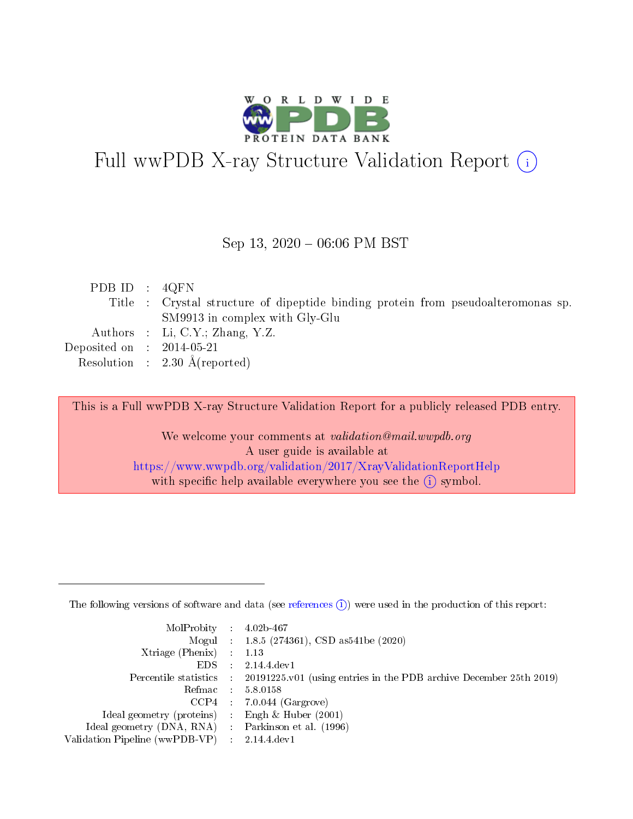

# Full wwPDB X-ray Structure Validation Report (i)

#### Sep 13,  $2020 - 06:06$  PM BST

| PDB ID : $4QFN$             |                                                                                   |
|-----------------------------|-----------------------------------------------------------------------------------|
|                             | Title : Crystal structure of dipeptide binding protein from pseudoalteromonas sp. |
|                             | SM9913 in complex with Gly-Glu                                                    |
|                             | Authors : Li, C.Y.; Zhang, Y.Z.                                                   |
| Deposited on : $2014-05-21$ |                                                                                   |
|                             | Resolution : $2.30 \text{ Å}$ (reported)                                          |

This is a Full wwPDB X-ray Structure Validation Report for a publicly released PDB entry.

We welcome your comments at validation@mail.wwpdb.org A user guide is available at <https://www.wwpdb.org/validation/2017/XrayValidationReportHelp> with specific help available everywhere you see the  $(i)$  symbol.

The following versions of software and data (see [references](https://www.wwpdb.org/validation/2017/XrayValidationReportHelp#references)  $(1)$ ) were used in the production of this report:

| $MolProbability$ 4.02b-467                          |               |                                                                                            |
|-----------------------------------------------------|---------------|--------------------------------------------------------------------------------------------|
|                                                     |               | Mogul : $1.8.5$ (274361), CSD as 541be (2020)                                              |
| Xtriage (Phenix)                                    |               | $\therefore$ 1.13                                                                          |
| EDS -                                               | $\mathcal{L}$ | 2.14.4 dev1                                                                                |
|                                                     |               | Percentile statistics : 20191225.v01 (using entries in the PDB archive December 25th 2019) |
|                                                     |               | Refmac $5.8.0158$                                                                          |
| CCP4                                                |               | $7.0.044$ (Gargrove)                                                                       |
| Ideal geometry (proteins)                           | $\mathcal{F}$ | Engh $\&$ Huber (2001)                                                                     |
| Ideal geometry (DNA, RNA) : Parkinson et al. (1996) |               |                                                                                            |
| Validation Pipeline (wwPDB-VP) : 2.14.4.dev1        |               |                                                                                            |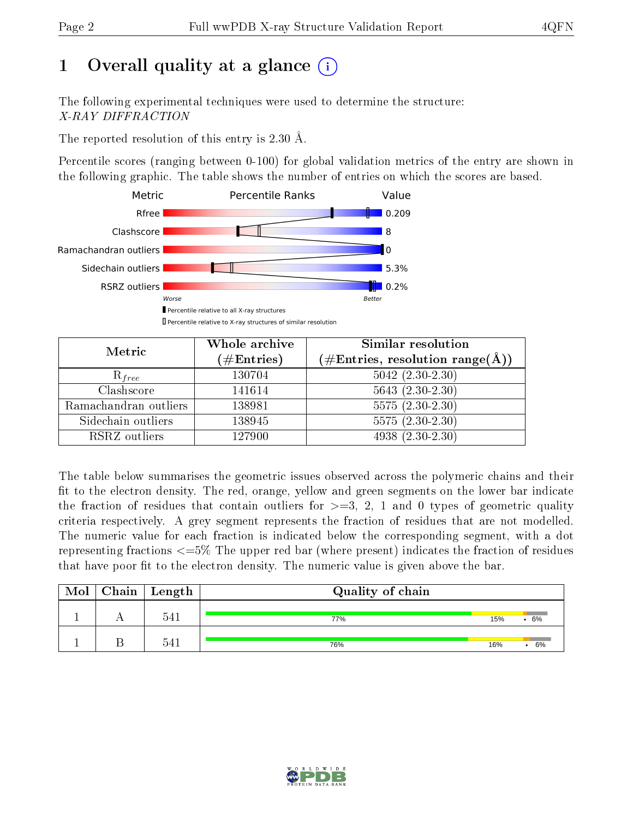# 1 [O](https://www.wwpdb.org/validation/2017/XrayValidationReportHelp#overall_quality)verall quality at a glance  $(i)$

The following experimental techniques were used to determine the structure: X-RAY DIFFRACTION

The reported resolution of this entry is 2.30 Å.

Percentile scores (ranging between 0-100) for global validation metrics of the entry are shown in the following graphic. The table shows the number of entries on which the scores are based.



| Metric                | Whole archive<br>$(\#\mathrm{Entries})$ | <b>Similar resolution</b><br>$(\#\text{Entries},\,\text{resolution}\,\,\text{range}(\textup{\AA}))$ |  |  |
|-----------------------|-----------------------------------------|-----------------------------------------------------------------------------------------------------|--|--|
| $R_{free}$            | 130704                                  | $5042$ $(2.30-2.30)$                                                                                |  |  |
| Clashscore            | 141614                                  | $5643(2.30-2.30)$                                                                                   |  |  |
| Ramachandran outliers | 138981                                  | $5575(2.30-2.30)$                                                                                   |  |  |
| Sidechain outliers    | 138945                                  | $5575(2.30-2.30)$                                                                                   |  |  |
| RSRZ outliers         | 127900                                  | $4938 (2.30 - 2.30)$                                                                                |  |  |

The table below summarises the geometric issues observed across the polymeric chains and their fit to the electron density. The red, orange, yellow and green segments on the lower bar indicate the fraction of residues that contain outliers for  $>=3, 2, 1$  and 0 types of geometric quality criteria respectively. A grey segment represents the fraction of residues that are not modelled. The numeric value for each fraction is indicated below the corresponding segment, with a dot representing fractions <=5% The upper red bar (where present) indicates the fraction of residues that have poor fit to the electron density. The numeric value is given above the bar.

| Mol | ${\rm Chain \mid Length}$ | Quality of chain |     |     |
|-----|---------------------------|------------------|-----|-----|
|     | 541                       | 77%              | 15% | .6% |
|     | 541                       | 76%              | 16% | 6%  |

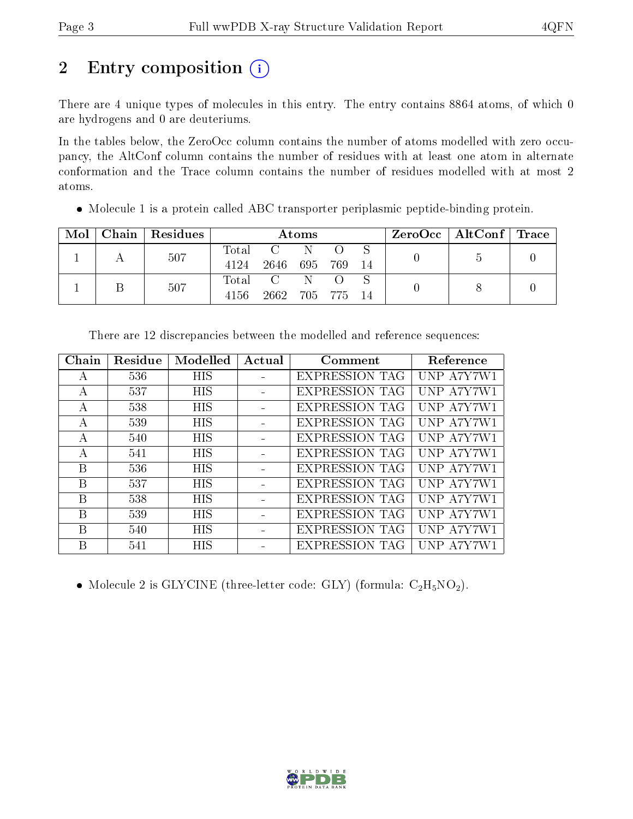# 2 Entry composition (i)

There are 4 unique types of molecules in this entry. The entry contains 8864 atoms, of which 0 are hydrogens and 0 are deuteriums.

In the tables below, the ZeroOcc column contains the number of atoms modelled with zero occupancy, the AltConf column contains the number of residues with at least one atom in alternate conformation and the Trace column contains the number of residues modelled with at most 2 atoms.

|  |  | $Mol$   Chain   Residues | <b>Atoms</b> |           |  |       |  | $\text{ZeroOcc} \mid \text{AltConf} \mid \text{Trace}$ |  |
|--|--|--------------------------|--------------|-----------|--|-------|--|--------------------------------------------------------|--|
|  |  | 507                      |              | Total C N |  |       |  |                                                        |  |
|  |  | 4124                     | 2646 695 769 |           |  | 14    |  |                                                        |  |
|  |  | 507                      |              | Total C N |  |       |  |                                                        |  |
|  |  | 4156                     | 2662 705 775 |           |  | $-14$ |  |                                                        |  |

Molecule 1 is a protein called ABC transporter periplasmic peptide-binding protein.

| <b>HIS</b><br>UNP A7Y7W1<br><b>EXPRESSION TAG</b><br>536<br>A |  |
|---------------------------------------------------------------|--|
|                                                               |  |
| UNP A7Y7W1<br>537<br>HIS<br><b>EXPRESSION TAG</b><br>А        |  |
| 538<br>HIS<br><b>EXPRESSION TAG</b><br>UNP A7Y7W1<br>А        |  |
| HIS<br><b>EXPRESSION TAG</b><br>UNP A7Y7W1<br>539<br>А        |  |
| HIS<br>UNP A7Y7W1<br><b>EXPRESSION TAG</b><br>540<br>А        |  |
| UNP A7Y7W1<br><b>HIS</b><br><b>EXPRESSION TAG</b><br>541<br>А |  |
| B<br><b>HIS</b><br><b>EXPRESSION TAG</b><br>UNP A7Y7W1<br>536 |  |
| UNP A7Y7W1<br>B<br><b>HIS</b><br><b>EXPRESSION TAG</b><br>537 |  |
| B<br>538<br>HIS<br><b>EXPRESSION TAG</b><br>UNP A7Y7W1        |  |
| B<br>HIS<br>UNP A7Y7W1<br>539<br><b>EXPRESSION TAG</b>        |  |
| HIS<br>UNP A7Y7W1<br>B<br><b>EXPRESSION TAG</b><br>540        |  |
| HIS<br><b>EXPRESSION TAG</b><br>UNP A7Y7W1<br>В<br>541        |  |

There are 12 discrepancies between the modelled and reference sequences:

• Molecule 2 is GLYCINE (three-letter code: GLY) (formula:  $C_2H_5NO_2$ ).

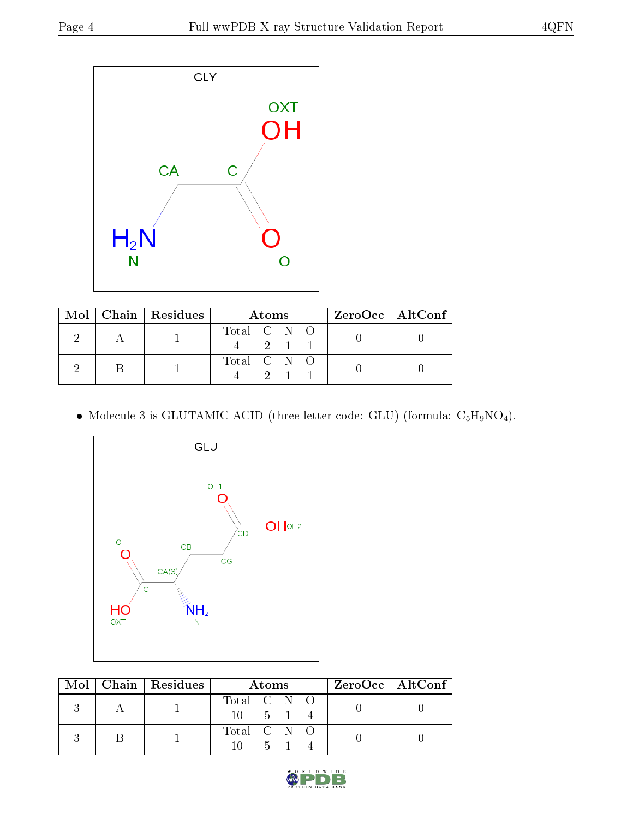

|  | $\text{Mol}$   Chain   Residues | Atoms       | $ZeroOcc \   \ AltConf$ |
|--|---------------------------------|-------------|-------------------------|
|  |                                 | Total C N O |                         |
|  |                                 | Total C N O |                         |

 $\bullet$  Molecule 3 is GLUTAMIC ACID (three-letter code: GLU) (formula:  $\mathrm{C}_5\mathrm{H}_9\mathrm{NO}_4).$ 



|  | Mol   Chain   Residues | <b>Atoms</b>                                |  |  |  | ZeroOcc   AltConf |  |
|--|------------------------|---------------------------------------------|--|--|--|-------------------|--|
|  |                        | Total C N O<br>$10 \quad 5 \quad 1 \quad 4$ |  |  |  |                   |  |
|  |                        | Total C N O<br>$10 \quad 5 \quad 1$         |  |  |  |                   |  |

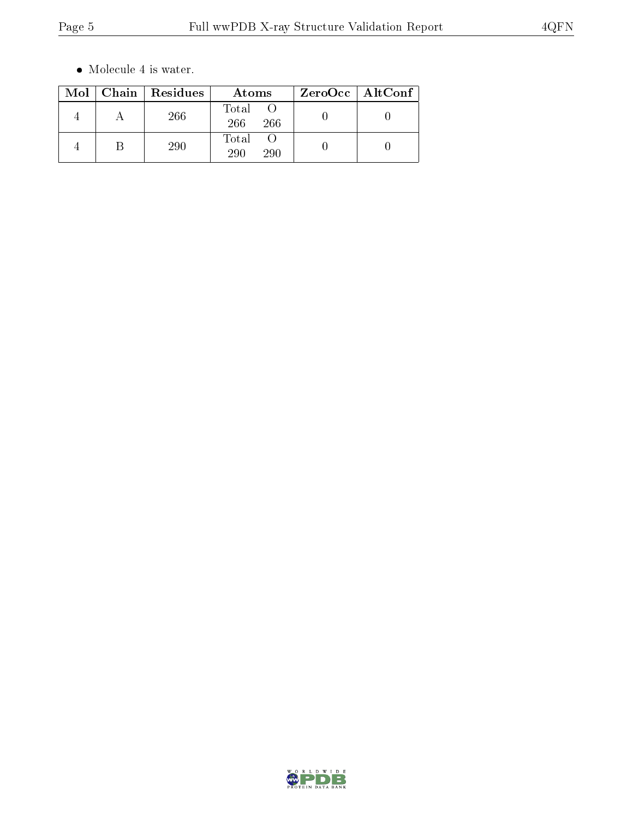$\bullet\,$  Molecule 4 is water.

|  | Mol   Chain   Residues | Atoms               | $ZeroOcc \mid AltConf \mid$ |
|--|------------------------|---------------------|-----------------------------|
|  | 266                    | Total<br>266<br>266 |                             |
|  | 290                    | Total<br>290<br>290 |                             |

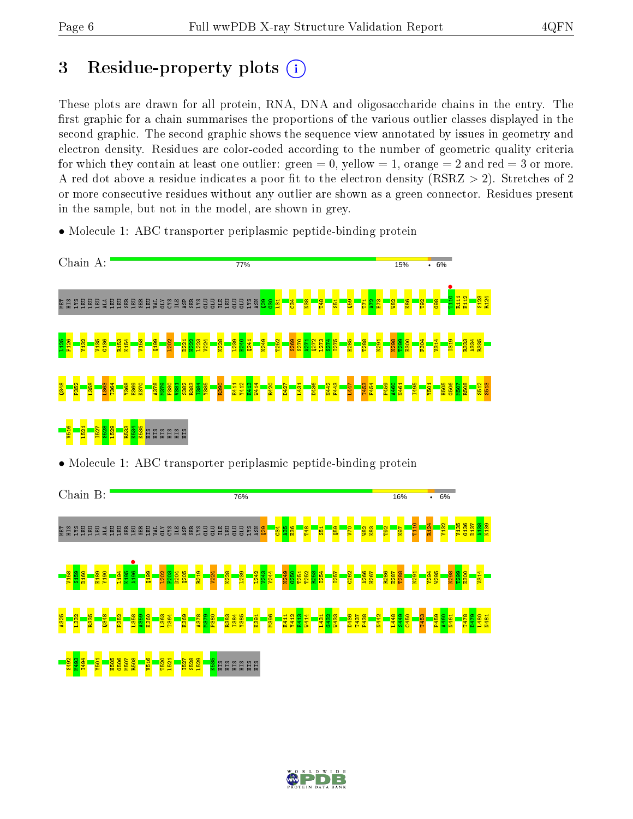## 3 Residue-property plots  $(i)$

These plots are drawn for all protein, RNA, DNA and oligosaccharide chains in the entry. The first graphic for a chain summarises the proportions of the various outlier classes displayed in the second graphic. The second graphic shows the sequence view annotated by issues in geometry and electron density. Residues are color-coded according to the number of geometric quality criteria for which they contain at least one outlier: green  $= 0$ , yellow  $= 1$ , orange  $= 2$  and red  $= 3$  or more. A red dot above a residue indicates a poor fit to the electron density ( $\text{RSRZ} > 2$ ). Stretches of 2 or more consecutive residues without any outlier are shown as a green connector. Residues present in the sample, but not in the model, are shown in grey.

• Molecule 1: ABC transporter periplasmic peptide-binding protein



• Molecule 1: ABC transporter periplasmic peptide-binding protein



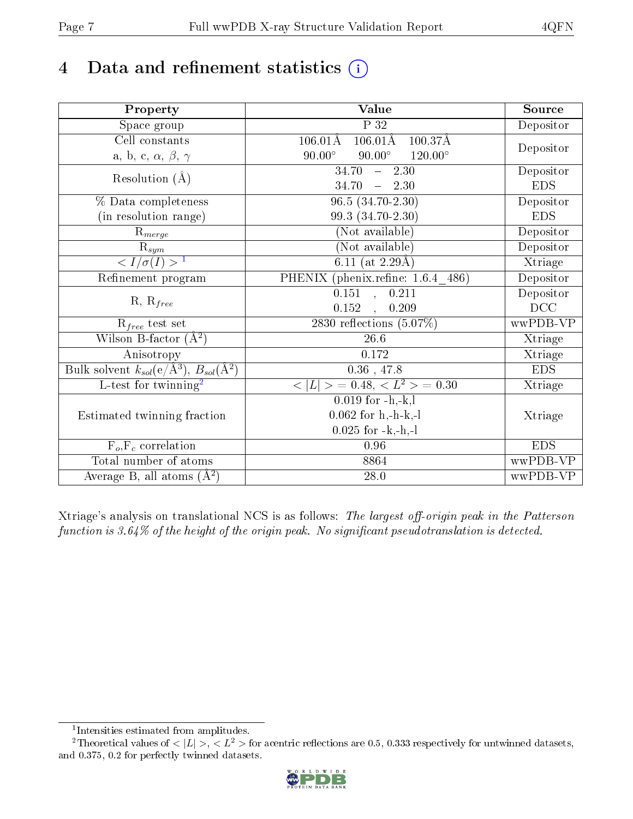# 4 Data and refinement statistics  $(i)$

| Property                                                             | Value                                                   | Source     |
|----------------------------------------------------------------------|---------------------------------------------------------|------------|
| Space group                                                          | $\overline{P}32$                                        | Depositor  |
| Cell constants                                                       | $106.01\text{\AA}$<br>$100.37\AA$<br>$106.01\text{\AA}$ |            |
| a, b, c, $\alpha$ , $\beta$ , $\gamma$                               | $90.00^\circ$<br>$90.00^\circ$<br>$120.00^{\circ}$      | Depositor  |
| Resolution $(\AA)$                                                   | $\overline{34.70}$ - 2.30                               | Depositor  |
|                                                                      | $-2.30$<br>34.70                                        | <b>EDS</b> |
| % Data completeness                                                  | $96.5(34.70-2.30)$                                      | Depositor  |
| (in resolution range)                                                | 99.3 (34.70-2.30)                                       | <b>EDS</b> |
| $R_{merge}$                                                          | (Not available)                                         | Depositor  |
| $\overline{\mathbf{R}}_{\underline{sym}}$                            | (Not available)                                         | Depositor  |
| $\sqrt{I/\sigma(I)} > 1$                                             | 6.11 (at $2.29\text{\AA})$                              | Xtriage    |
| Refinement program                                                   | PHENIX (phenix.refine: 1.6.4 486)                       | Depositor  |
| $R, R_{free}$                                                        | $\overline{0.151}$ , $\overline{0.211}$                 | Depositor  |
|                                                                      | 0.152<br>0.209<br>$\sim$ , $\sim$                       | DCC        |
| $R_{free}$ test set                                                  | 2830 reflections $(5.07\%)$                             | wwPDB-VP   |
| Wilson B-factor $(A^2)$                                              | 26.6                                                    | Xtriage    |
| Anisotropy                                                           | 0.172                                                   | Xtriage    |
| Bulk solvent $k_{sol}(e/\mathring{A}^3)$ , $B_{sol}(\mathring{A}^2)$ | $0.36$ , 47.8                                           | <b>EDS</b> |
| L-test for twinning <sup>2</sup>                                     | $< L >$ = 0.48, $< L2 >$ = 0.30                         | Xtriage    |
|                                                                      | $\overline{0.019}$ for -h,-k,l                          |            |
| Estimated twinning fraction                                          | $0.062$ for h,-h-k,-l                                   | Xtriage    |
|                                                                      | $0.025$ for $-k,-h,-l$                                  |            |
| $F_o, F_c$ correlation                                               | 0.96                                                    | <b>EDS</b> |
| Total number of atoms                                                | 8864                                                    | wwPDB-VP   |
| Average B, all atoms $(A^2)$                                         | 28.0                                                    | wwPDB-VP   |

Xtriage's analysis on translational NCS is as follows: The largest off-origin peak in the Patterson function is  $3.64\%$  of the height of the origin peak. No significant pseudotranslation is detected.

<sup>&</sup>lt;sup>2</sup>Theoretical values of  $\langle |L| \rangle$ ,  $\langle L^2 \rangle$  for acentric reflections are 0.5, 0.333 respectively for untwinned datasets, and 0.375, 0.2 for perfectly twinned datasets.



<span id="page-6-1"></span><span id="page-6-0"></span><sup>1</sup> Intensities estimated from amplitudes.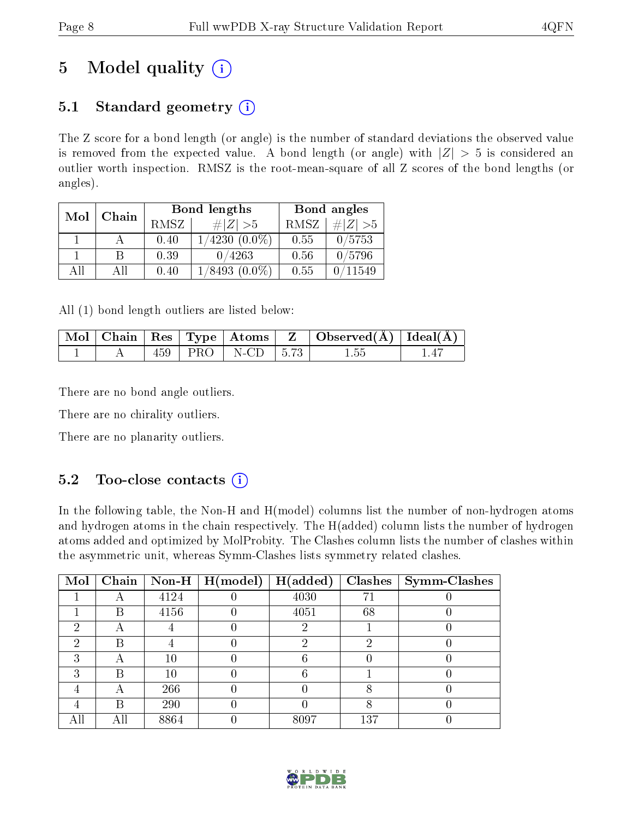# 5 Model quality  $(i)$

### 5.1 Standard geometry  $(i)$

The Z score for a bond length (or angle) is the number of standard deviations the observed value is removed from the expected value. A bond length (or angle) with  $|Z| > 5$  is considered an outlier worth inspection. RMSZ is the root-mean-square of all Z scores of the bond lengths (or angles).

| Mol | Chain |             | Bond lengths       | Bond angles |             |  |
|-----|-------|-------------|--------------------|-------------|-------------|--|
|     |       | <b>RMSZ</b> | $\# Z  > 5$        | RMSZ        | # $ Z  > 5$ |  |
|     |       | 0.40        | $1/4230(0.0\%)$    | 0.55        | 0/5753      |  |
|     | B     | 0.39        | 0/4263             | 0.56        | 0/5796      |  |
| AП  | ΑH    | 0.40        | $1/8493$ $(0.0\%)$ | 0.55        | 0/11549     |  |

All (1) bond length outliers are listed below:

|  |     |                                    | $\mid$ Mol $\mid$ Chain $\mid$ Res $\mid$ Type $\mid$ Atoms $\mid$ Z $\mid$ Observed(A) $\mid$ Ideal(A) |  |
|--|-----|------------------------------------|---------------------------------------------------------------------------------------------------------|--|
|  | 459 | $\mid$ PRO $\mid$ N-CD $\mid$ 5.73 | 1.55                                                                                                    |  |

There are no bond angle outliers.

There are no chirality outliers.

There are no planarity outliers.

### $5.2$  Too-close contacts  $(i)$

In the following table, the Non-H and H(model) columns list the number of non-hydrogen atoms and hydrogen atoms in the chain respectively. The H(added) column lists the number of hydrogen atoms added and optimized by MolProbity. The Clashes column lists the number of clashes within the asymmetric unit, whereas Symm-Clashes lists symmetry related clashes.

| Mol | Chain |      | Non-H $\mid$ H(model) | H(added) |     | Clashes   Symm-Clashes |
|-----|-------|------|-----------------------|----------|-----|------------------------|
|     |       | 4124 |                       | 4030     | 7.  |                        |
|     | B     | 4156 |                       | 4051     | 68  |                        |
| റ   | А     |      |                       |          |     |                        |
| ച   | В     |      |                       |          | 6)  |                        |
| R   | А     | 10   |                       |          |     |                        |
| ົ   | R     | 10   |                       |          |     |                        |
|     | А     | 266  |                       |          |     |                        |
|     | В     | 290  |                       |          | 8   |                        |
|     | Αll   | 8864 |                       | 8097     | 137 |                        |

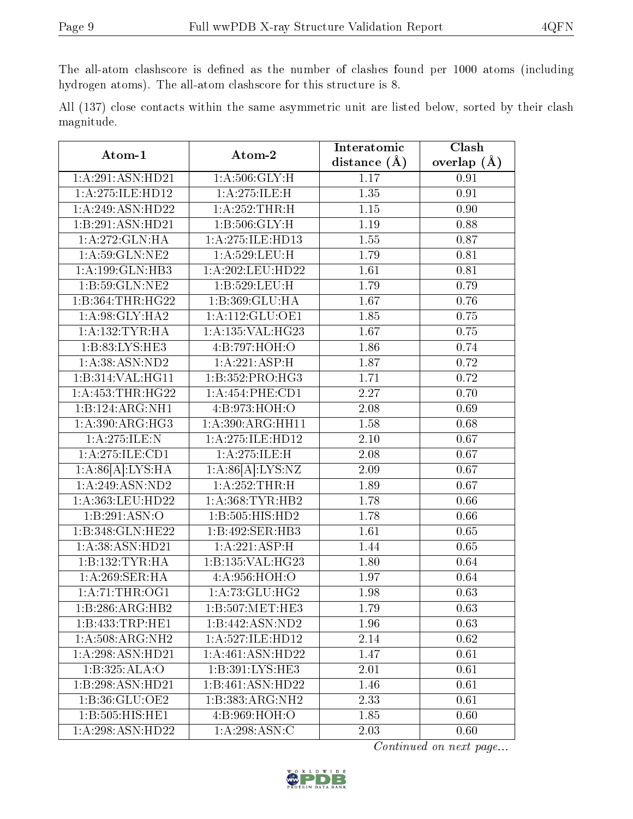The all-atom clashscore is defined as the number of clashes found per 1000 atoms (including hydrogen atoms). The all-atom clashscore for this structure is 8.

|            |  |  | All (137) close contacts within the same asymmetric unit are listed below, sorted by their clash |  |  |  |  |
|------------|--|--|--------------------------------------------------------------------------------------------------|--|--|--|--|
| magnitude. |  |  |                                                                                                  |  |  |  |  |

| Atom-1                       | Atom-2                     | Interatomic    | Clash             |
|------------------------------|----------------------------|----------------|-------------------|
|                              |                            | distance $(A)$ | overlap $(\AA)$   |
| 1:A:291:ASN:HD21             | 1: A:506: GLY:H            | 1.17           | 0.91              |
| 1:A:275:ILE:HD12             | 1: A:275: ILE:H            | 1.35           | 0.91              |
| 1:A:249:ASN:HD22             | 1: A:252:THR:H             | $1.15\,$       | $\overline{0.90}$ |
| 1:B:291:ASN:HD21             | 1:B:506:GLY:H              | 1.19           | 0.88              |
| 1:A:272:GLN:HA               | 1:A:275:ILE:HD13           | 1.55           | 0.87              |
| 1: A:59: GLN: NE2            | 1:A:529:LEU:H              | 1.79           | 0.81              |
| 1:A:199:GLN:HB3              | 1:A:202:LEU:HD22           | 1.61           | 0.81              |
| 1:B:59:GLN:NE2               | 1:B:529:LEU:H              | 1.79           | 0.79              |
| 1:B:364:THR:HG22             | 1:B:369:GLU:HA             | 1.67           | 0.76              |
| 1: A:98: GLY:HA2             | 1: A: 112: GLU: OE1        | 1.85           | 0.75              |
| 1: A: 132: TYR: HA           | 1:A:135:VAL:HG23           | 1.67           | 0.75              |
| 1:B:83:LYS:HE3               | 4:B:797:HOH:O              | 1.86           | 0.74              |
| 1: A: 38: ASN: ND2           | 1:A:221:ASP:H              | 1.87           | 0.72              |
| 1:B:314:VAL:HG11             | 1:B:352:PRO:HG3            | 1.71           | 0.72              |
| 1: A: 453: THR: HG22         | 1:A:454:PHE:CD1            | 2.27           | 0.70              |
| 1:B:124:ARG:NH1              | 4:B:973:HOH:O              | 2.08           | 0.69              |
| $1:A:390:A\overline{RG:HG3}$ | 1:A:390:ARG:HH11           | 1.58           | 0.68              |
| 1: A:275: ILE:N              | 1:A:275:ILE:HD12           | 2.10           | 0.67              |
| 1:A:275:ILE:CD1              | 1: A:275: ILE:H            | 2.08           | 0.67              |
| 1:A:86[A]:LYS:HA             | 1:A:86[A]:LYS:NZ           | 2.09           | 0.67              |
| 1:A:249:ASN:ND2              | 1:A:252:THR:H              | 1.89           | 0.67              |
| 1:A:363:LEU:HD22             | 1: A: 368: TYR: HB2        | 1.78           | 0.66              |
| 1:B:291:ASN:O                | 1:B:505:HIS:HD2            | 1.78           | 0.66              |
| 1:B:348:GLN:HE22             | 1:B:492:SER:HB3            | 1.61           | 0.65              |
| 1:A:38:ASN:HD21              | 1: A:221:ASP:H             | 1.44           | 0.65              |
| 1:B:132:TYR:HA               | 1:B:135:VAL:HG23           | 1.80           | 0.64              |
| 1:A:269:SER:HA               | 4:A:956:HOH:O              | 1.97           | 0.64              |
| 1: A:71:THR:OG1              | 1:A:73:GLU:HG2             | 1.98           | 0.63              |
| 1:B:286:ARG:HB2              | 1: B: 507: MET: HE3        | 1.79           | 0.63              |
| 1:B:433:TRP:HE1              | 1:B:442:ASN:ND2            | 1.96           | 0.63              |
| 1:A:508:ARG:NH2              | 1: A:527: ILE: HD12        | 2.14           | 0.62              |
| 1:A:298:ASN:HD21             | 1:A:461:ASN:HD22           | 1.47           | 0.61              |
| 1:B:325:ALA:O                | 1:B:391:LYS:HE3            | 2.01           | 0.61              |
| 1:B:298:ASN:HD21             | 1:B:461:ASN:HD22           | 1.46           | 0.61              |
| 1:B:36:GLU:OE2               | 1:B:383:ARG:NH2            | 2.33           | 0.61              |
| 1:B:505:HIS:HEL              | 4:B:969:HOH:O              | 1.85           | 0.60              |
| 1:A:298:ASN:HD22             | $1:\overline{A:298:ASN:C}$ | 2.03           | 0.60              |

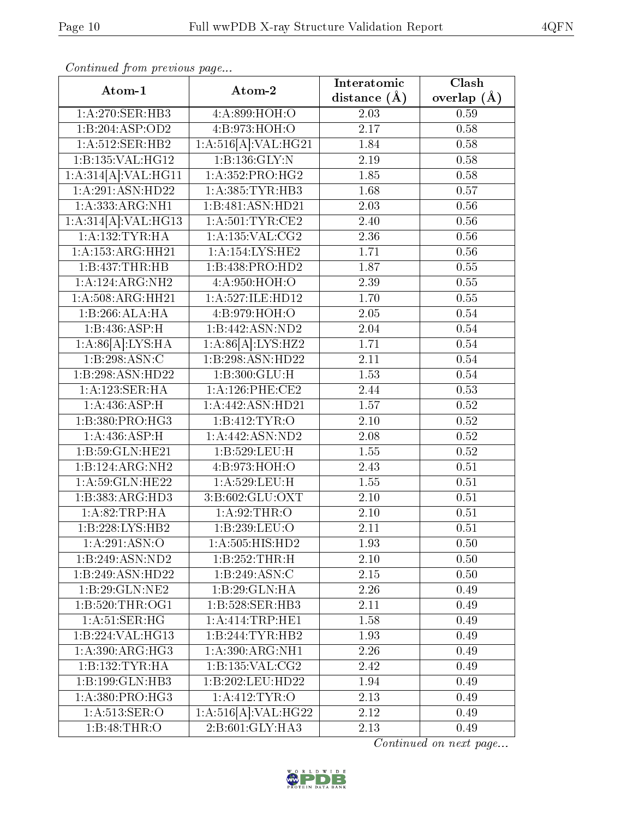| Continuou jiom protivus pago                  |                              | Interatomic    | $\overline{\text{Clash}}$ |
|-----------------------------------------------|------------------------------|----------------|---------------------------|
| Atom-1                                        | Atom-2                       | distance $(A)$ | overlap $(\AA)$           |
| 1:A:270:SER:HB3                               | 4:A:899:HOH:O                | 2.03           | 0.59                      |
| 1:B:204:ASP:OD2                               | 4: B: 973: HOH: O            | 2.17           | 0.58                      |
| 1:A:512:SER:HB2                               | 1:A:516[A]:VAL:H G21         | 1.84           | 0.58                      |
| 1:B:135:VAL:HG12                              | 1:B:136:GLY:N                | 2.19           | 0.58                      |
| 1:A:314[A]:VAL:HG11                           | 1:A:352:PRO:HG2              | 1.85           | 0.58                      |
| 1:A:291:ASN:HD22                              | 1: A: 385: TYR: HB3          | 1.68           | 0.57                      |
| 1: A: 333: ARG: NH1                           | 1:B:481:ASN:HD21             | 2.03           | 0.56                      |
| 1:A:314[A]:VAL:HG13                           | 1: A:501:TYR:CE2             | 2.40           | 0.56                      |
| 1: A: 132: TYR: HA                            | 1:A:135:VAL:CG2              | 2.36           | 0.56                      |
| 1: A: 153: ARG: HH21                          | 1:A:154:LYS:HE2              | 1.71           | 0.56                      |
| 1:B:437:THR:HB                                | 1:B:438:PRO:HD2              | 1.87           | 0.55                      |
| 1:A:124:ARG:NH2                               | 4:A:950:HOH:O                | 2.39           | 0.55                      |
| 1:A:508:ARG:HH21                              | 1:A:527:ILE:HD12             | 1.70           | 0.55                      |
| $1:B:266:\overline{\mathrm{ALA:H}\mathrm{A}}$ | 4:B:979:HOH:O                | 2.05           | 0.54                      |
| 1:B:436:ASP:H                                 | 1:B:442:ASN:ND2              | 2.04           | 0.54                      |
| 1:A:86[A]:LYS:HA                              | 1:A:86[A]:LYS:HZ2            | 1.71           | 0.54                      |
| 1:B:298:ASN:C                                 | 1:B:298:ASN:HD22             | 2.11           | 0.54                      |
| 1:B:298:ASN:HD22                              | 1:B:300:GLU:H                | 1.53           | 0.54                      |
| 1:A:123:SER:HA                                | $1: A:126:$ PHE:CE2          | 2.44           | 0.53                      |
| 1: A:436: ASP:H                               | 1:A:442:ASN:HD21             | 1.57           | 0.52                      |
| 1:B:380:PRO:HG3                               | 1:B:412:TYR:O                | 2.10           | 0.52                      |
| 1: A:436: ASP:H                               | 1:A:442:ASN:ND2              | 2.08           | 0.52                      |
| 1:B:59:GLN:HE21                               | 1:B:529:LEU:H                | 1.55           | 0.52                      |
| 1:B:124:ARG:NH2                               | 4:B:973:HOH:O                | 2.43           | 0.51                      |
| 1: A:59: GLN: HE22                            | 1:A:529:LEU:H                | 1.55           | 0.51                      |
| 1:B:383:ARG:HD3                               | 3:B:602:GLU:OXT              | 2.10           | 0.51                      |
| 1: A:82:TRP:HA                                | 1: A:92:THR:O                | 2.10           | 0.51                      |
| 1:B:228:LYS:HB2                               | 1:B:239:LEU:O                | 2.11           | 0.51                      |
| 1:A:291:ASN:O                                 | $1:A:505:HI\overline{S:HD2}$ | 1.93           | 0.50                      |
| 1:B:249:ASN:ND2                               | 1:B:252:THR:H                | 2.10           | 0.50                      |
| $1:B:249:A\overline{SN:HD22}$                 | 1:B:249:ASN:C                | 2.15           | 0.50                      |
| 1:B:29:GLN:NE2                                | 1:B:29:GLN:HA                | 2.26           | 0.49                      |
| 1: B:520: THR:OG1                             | 1:B:528:SER:HB3              | 2.11           | 0.49                      |
| 1: A:51: SER: HG                              | 1:A:414:TRP:HE1              | 1.58           | 0.49                      |
| 1:B:224:VAL:HG13                              | 1:B:244:TYR:HB2              | 1.93           | 0.49                      |
| 1:A:390:ARG:HG3                               | 1: A:390:ARG:NH1             | 2.26           | 0.49                      |
| 1:B:132:TYR:HA                                | 1: B: 135: VAL: CG2          | 2.42           | 0.49                      |
| 1:B:199:GLN:HB3                               | 1:B:202:LEU:HD22             | 1.94           | 0.49                      |
| 1: A:380: PRO:HG3                             | 1: A: 412: TYR: O            | 2.13           | 0.49                      |
| 1:A:513:SER:O                                 | 1:A:516[A]:VAL:HG22          | 2.12           | 0.49                      |
| 1:B:48:THR:O                                  | 2:B:601:GLY:HA3              | 2.13           | 0.49                      |

Continued from previous page.

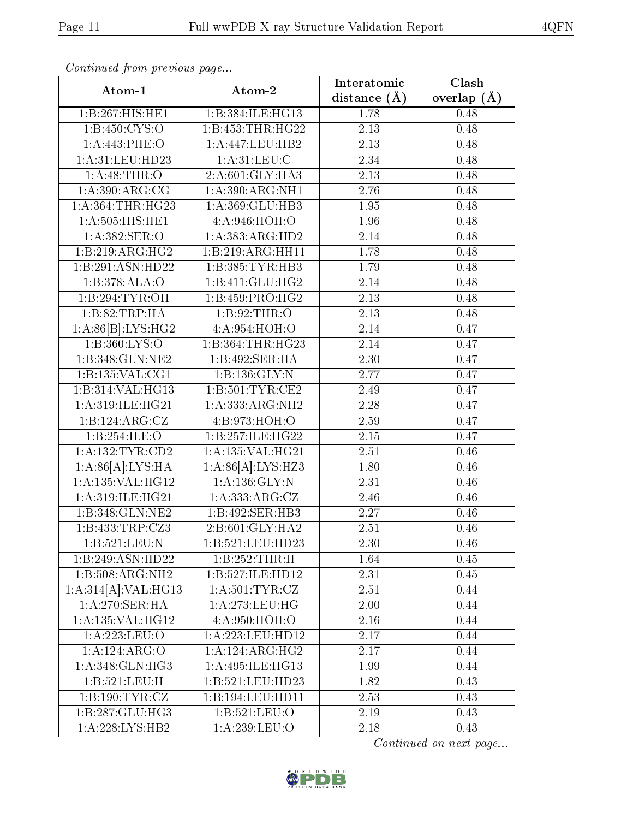| Continuati pont previous page   |                      | Interatomic       | $\overline{\text{Clash}}$ |  |
|---------------------------------|----------------------|-------------------|---------------------------|--|
| Atom-1                          | Atom-2               | distance $(\AA)$  | overlap $(A)$             |  |
| 1:B:267:HIS:HE1                 | 1:B:384:ILE:HG13     | 1.78              | 0.48                      |  |
| 1: B: 450: CYS:O                | 1:B:453:THR:HG22     | 2.13              | 0.48                      |  |
| 1:A:443:PHE:O                   | 1:A:447:LEU:HB2      | 2.13              | 0.48                      |  |
| 1:A:31:LEU:HD23                 | 1: A:31: LEU: C      | 2.34              | 0.48                      |  |
| 1: A:48:THR:O                   | 2:A:601:GLY:HA3      | 2.13              | 0.48                      |  |
| 1: A:390:ARG:CG                 | 1: A:390:ARG:NH1     | 2.76              | 0.48                      |  |
| 1:A:364:THR:HG23                | 1:A:369:GLU:HB3      | 1.95              | 0.48                      |  |
| $1: A: 505: \overline{HIS:HE1}$ | 4:A:946:HOH:O        | 1.96              | 0.48                      |  |
| 1: A: 382: SER: O               | 1:A:383:ARG:HD2      | $\overline{2.14}$ | 0.48                      |  |
| 1:B:219:ARG:HG2                 | 1:B:219:ARG:HH11     | 1.78              | 0.48                      |  |
| 1:B:291:ASN:HD22                | 1:B:385:TYR:HB3      | 1.79              | 0.48                      |  |
| 1:B:378:ALA:O                   | 1:B:411:GLU:HG2      | 2.14              | 0.48                      |  |
| 1:B:294:TYR:OH                  | 1:B:459:PRO:HG2      | 2.13              | 0.48                      |  |
| 1:B:82:TRP:HA                   | 1:B:92:THR:O         | 2.13              | 0.48                      |  |
| 1:A:86[B]:LYS:HG2               | 4:A:954:HOH:O        | 2.14              | 0.47                      |  |
| 1:B:360:LYS:O                   | 1:B:364:THR:HG23     | 2.14              | 0.47                      |  |
| 1:B:348:GLN:NE2                 | 1:B:492:SER:HA       | 2.30              | 0.47                      |  |
| 1:B:135:VAL:CG1                 | 1:B:136:GLY:N        | 2.77              | 0.47                      |  |
| 1:B:314:VAL:HG13                | 1: B: 501: TYR: CE2  | 2.49              | 0.47                      |  |
| 1:A:319:ILE:HG21                | 1:A:333:ARG:NH2      | 2.28              | 0.47                      |  |
| 1:B:124:ARG:CZ                  | 4:B:973:HOH:O        | 2.59              | 0.47                      |  |
| 1:B:254:ILE:O                   | 1:B:257:ILE:HG22     | 2.15              | 0.47                      |  |
| $1:$ A:132:TYR:CD2              | 1:A:135:VAL:HG21     | 2.51              | 0.46                      |  |
| 1:A:86[A]:LYS:HA                | 1:A:86[A]:LYS:HZ3    | $\overline{1.80}$ | 0.46                      |  |
| 1:A:135:VAL:HG12                | 1: A: 136: GLY: N    | 2.31              | 0.46                      |  |
| 1:A:319:ILE:HG21                | 1:A:333:ARG:CZ       | 2.46              | 0.46                      |  |
| 1:B:348:GLN:NE2                 | 1:B:492:SER:HB3      | 2.27              | 0.46                      |  |
| 1:B:433:TRP:CZ3                 | $2:B:601:GLY:H\{A2}$ | 2.51              | 0.46                      |  |
| 1:B:521:LEU:N                   | 1:B:521:LEU:HD23     | 2.30              | 0.46                      |  |
| 1:B:249:ASN:HD22                | 1:B:252:THR:H        | 1.64              | 0.45                      |  |
| 1:B:508:ARG:NH2                 | 1:B:527:ILE:HD12     | 2.31              | 0.45                      |  |
| 1:A:314[A]:VAL:HG13             | 1: A: 501: TYR: CZ   | 2.51              | 0.44                      |  |
| 1: A:270: SER:HA                | 1: A:273:LEU:HG      | 2.00              | 0.44                      |  |
| 1:A:135:VAL:HG12                | 4:A:950:HOH:O        | 2.16              | 0.44                      |  |
| 1:A:223:LEU:O                   | 1:A:223:LEU:HD12     | 2.17              | 0.44                      |  |
| 1:A:124:ARG:O                   | 1:A:124:ARG:HG2      | 2.17              | 0.44                      |  |
| 1: A:348: GLN: HG3              | 1:A:495:ILE:HG13     | 1.99              | 0.44                      |  |
| 1:B:521:LEU:H                   | 1:B:521:LEU:HD23     | 1.82              | 0.43                      |  |
| 1:B:190:TYR:CZ                  | 1:B:194:LEU:HD11     | 2.53              | 0.43                      |  |
| 1:B:287:GLU:HG3                 | 1:B:521:LEU:O        | 2.19              | 0.43                      |  |
| 1:A:228:LYS:HB2                 | 1:A:239:LEU:O        | 2.18              | 0.43                      |  |

Continued from previous page.

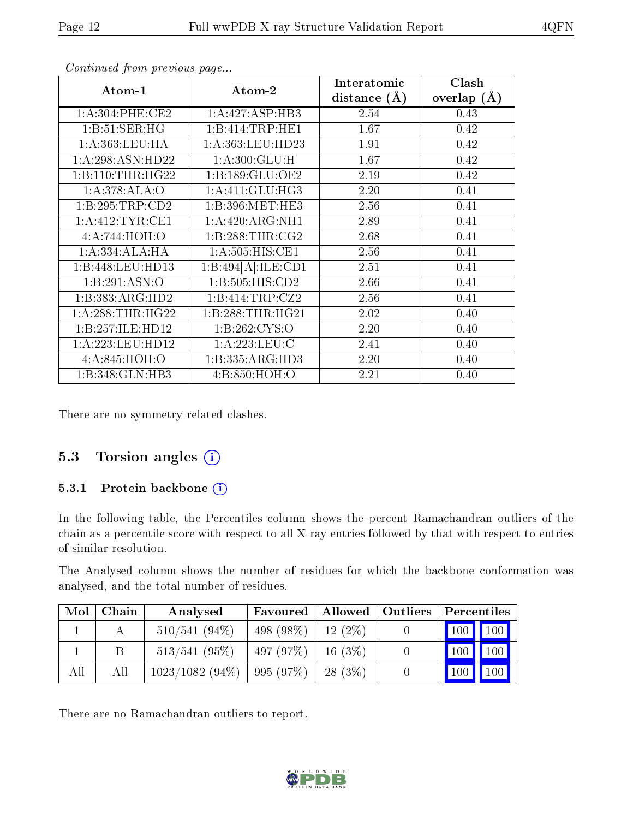| Atom-1              | Atom-2             | Interatomic<br>distance $(A)$ | Clash<br>overlap $(\AA)$ |
|---------------------|--------------------|-------------------------------|--------------------------|
| 1: A:304:PHE:CE2    | 1:A:427:ASP:HB3    | 2.54                          | 0.43                     |
| 1:B:51:SER:HG       | 1:B:414:TRP:HE1    | 1.67                          | 0.42                     |
| 1:A:363:LEU:HA      | 1:A:363:LEU:HD23   | 1.91                          | 0.42                     |
| 1:A:298:ASN:HD22    | 1: A:300: GLU: H   | 1.67                          | 0.42                     |
| 1:B:110:THR:HG22    | 1:B:189:GLU:OE2    | 2.19                          | 0.42                     |
| 1:A:378:ALA:O       | 1:A:411:GLU:HG3    | 2.20                          | 0.41                     |
| 1:B:295:TRP:CD2     | 1:B:396:MET:HE3    | 2.56                          | 0.41                     |
| 1: A: 412: TYR: CE1 | 1:A:420:ARG:NH1    | 2.89                          | 0.41                     |
| 4:A:744:HOH:O       | 1:B:288:THR:CG2    | 2.68                          | 0.41                     |
| 1:A:334:ALA:HA      | 1:A:505:HIS:CE1    | 2.56                          | 0.41                     |
| 1:B:448:LEU:HD13    | 1:B:494[A]:ILE:CD1 | 2.51                          | 0.41                     |
| 1:B:291:ASN:O       | 1:B:505:HIS:CD2    | 2.66                          | 0.41                     |
| 1:B:383:ARG:HD2     | 1:B:414:TRP:CZ2    | 2.56                          | 0.41                     |
| 1: A:288:THR:HG22   | 1:B:288:THR:HG21   | 2.02                          | 0.40                     |
| 1:B:257:ILE:HD12    | 1: B:262: CYS:O    | 2.20                          | 0.40                     |
| 1:A:223:LEU:HD12    | 1:A:223:LEU:C      | 2.41                          | 0.40                     |
| 4: A:845: HOH:O     | 1:B:335:ARG:HD3    | 2.20                          | 0.40                     |
| 1:B:348:GLN:HB3     | 4:B:850:HOH:O      | 2.21                          | 0.40                     |

Continued from previous page...

There are no symmetry-related clashes.

#### 5.3 Torsion angles  $(i)$

#### 5.3.1 Protein backbone (i)

In the following table, the Percentiles column shows the percent Ramachandran outliers of the chain as a percentile score with respect to all X-ray entries followed by that with respect to entries of similar resolution.

The Analysed column shows the number of residues for which the backbone conformation was analysed, and the total number of residues.

| Mol | Chain | Analysed        | Favoured    | Allowed   Outliers | Percentiles                       |  |
|-----|-------|-----------------|-------------|--------------------|-----------------------------------|--|
|     |       | $510/541(94\%)$ | 498 (98\%)  | 12(2%)             | $\boxed{100}$ $100$               |  |
|     |       | $513/541$ (95%) | 497 (97\%)  | 16(3%)             | $\vert 100 \vert \vert 100 \vert$ |  |
| All | Аll   | 1023/1082(94%)  | $995(97\%)$ | 28(3%)             | $100$   100                       |  |

There are no Ramachandran outliers to report.

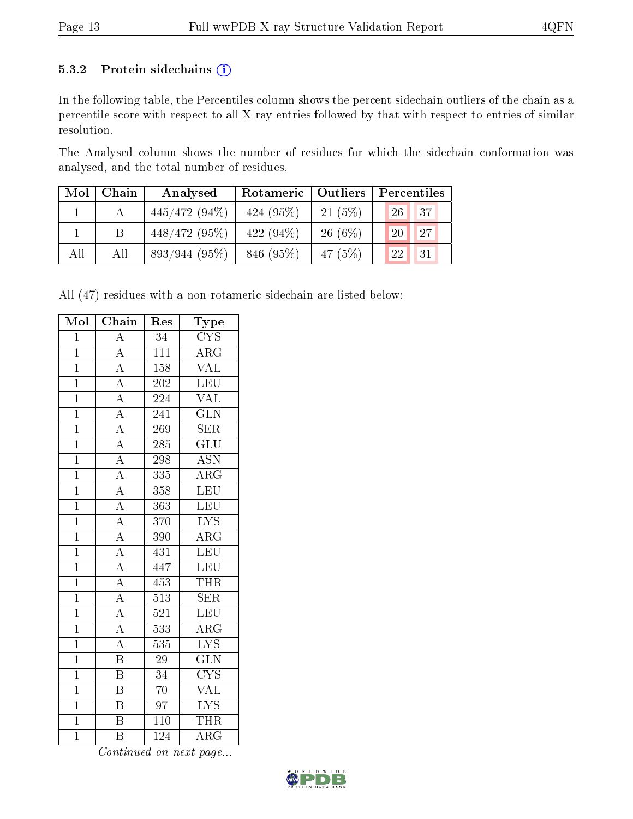#### 5.3.2 Protein sidechains (i)

In the following table, the Percentiles column shows the percent sidechain outliers of the chain as a percentile score with respect to all X-ray entries followed by that with respect to entries of similar resolution.

The Analysed column shows the number of residues for which the sidechain conformation was analysed, and the total number of residues.

| Mol | Chain | Analysed        | Rotameric   Outliers |           | Percentiles             |  |
|-----|-------|-----------------|----------------------|-----------|-------------------------|--|
|     |       | $445/472(94\%)$ | $424(95\%)$          | 21(5%)    | 37 <br>26 <sub>1</sub>  |  |
|     |       | $448/472(95\%)$ | 422 $(94\%)$         | $26(6\%)$ | 27<br>$\left 20\right $ |  |
| All | All   | 893/944(95%)    | 846 (95%)            | 47 $(5%)$ | 31<br>22                |  |

All (47) residues with a non-rotameric sidechain are listed below:

| Mol            | $\overline{\text{Chain}}$ | Res              | Type                      |
|----------------|---------------------------|------------------|---------------------------|
| $\mathbf{1}$   | $\overline{A}$            | 34               | <b>CYS</b>                |
| $\overline{1}$ | $\overline{A}$            | $\overline{111}$ | $\overline{\rm{ARG}}$     |
| $\overline{1}$ | $\overline{A}$            | 158              | <b>VAL</b>                |
| $\mathbf{1}$   | $\overline{A}$            | 202              | LEU                       |
| $\overline{1}$ | $\overline{A}$            | 224              | $\overline{\text{VAL}}$   |
| $\mathbf 1$    | $\overline{A}$            | 241              | $\overline{\text{GLN}}$   |
| $\overline{1}$ | $\overline{A}$            | 269              | <b>SER</b>                |
| $\overline{1}$ | $\frac{\overline{A}}{A}$  | 285              | $\overline{\text{GLU}}$   |
| $\overline{1}$ |                           | 298              | $\overline{\mathrm{ASN}}$ |
| $\overline{1}$ | $\overline{A}$            | 335              | $\overline{\text{ARG}}$   |
| $\mathbf{1}$   | $\overline{A}$            | $3\sqrt{5}8$     | $\overline{\text{LEU}}$   |
| $\overline{1}$ | $\overline{A}$            | 363              | LEU                       |
| $\mathbf 1$    | $\frac{1}{\mathbf{A}}$    | 370              | $\overline{\text{LYS}}$   |
| $\overline{1}$ | $\overline{A}$            | 390              | $\overline{\rm{ARG}}$     |
| $\overline{1}$ | $\overline{A}$            | 431              | LEU                       |
| $\overline{1}$ | $\overline{A}$            | 447              | LEU                       |
| $\overline{1}$ | $\overline{A}$            | 453              | <b>THR</b>                |
| $\mathbf{1}$   | $\overline{A}$            | 513              | <b>SER</b>                |
| $\overline{1}$ | $\overline{A}$            | $\overline{521}$ | LEU                       |
| $\overline{1}$ | $\overline{A}$            | 533              | $\overline{\rm{ARG}}$     |
| $\overline{1}$ | $\overline{A}$            | 535              | $\overline{\text{LYS}}$   |
| $\overline{1}$ | $\overline{\mathbf{B}}$   | $\overline{29}$  | $\overline{\text{GLN}}$   |
| $\overline{1}$ | $\overline{\mathrm{B}}$   | 34               | $\overline{\text{CYS}}$   |
| $\overline{1}$ | $\overline{\mathrm{B}}$   | $\overline{70}$  | $\overline{\text{VAL}}$   |
| $\mathbf 1$    | $\overline{\mathrm{B}}$   | 97               | $\overline{\text{LYS}}$   |
| $\overline{1}$ | $\overline{\mathrm{B}}$   | 110              | <b>THR</b>                |
| $\mathbf 1$    | $\overline{\mathrm{B}}$   | 124              | $\overline{\rm{ARG}}$     |

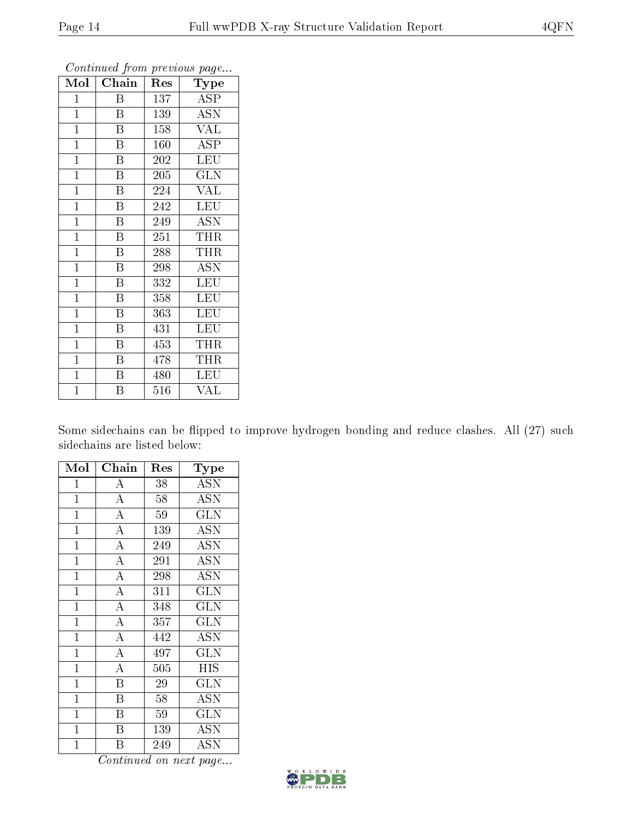| Mol            | Chain                   | Res | <b>Type</b> |
|----------------|-------------------------|-----|-------------|
| $\mathbf 1$    | Β                       | 137 | <b>ASP</b>  |
| $\mathbf{1}$   | $\overline{B}$          | 139 | <b>ASN</b>  |
| $\overline{1}$ | $\overline{\mathrm{B}}$ | 158 | <b>VAL</b>  |
| $\mathbf{1}$   | B                       | 160 | <b>ASP</b>  |
| $\overline{1}$ | $\overline{\mathrm{B}}$ | 202 | LEU         |
| $\overline{1}$ | $\boldsymbol{B}$        | 205 | <b>GLN</b>  |
| $\mathbf{1}$   | $\overline{B}$          | 224 | <b>VAL</b>  |
| $\mathbf{1}$   | Β                       | 242 | <b>LEU</b>  |
| $\overline{1}$ | $\boldsymbol{B}$        | 249 | <b>ASN</b>  |
| $\overline{1}$ | $\overline{\mathrm{B}}$ | 251 | THR         |
| $\mathbf{1}$   | $\boldsymbol{B}$        | 288 | <b>THR</b>  |
| $\mathbf{1}$   | $\overline{\mathrm{B}}$ | 298 | <b>ASN</b>  |
| $\mathbf{1}$   | Β                       | 332 | <b>LEU</b>  |
| $\mathbf{1}$   | $\overline{\mathrm{B}}$ | 358 | <b>LEU</b>  |
| $\mathbf{1}$   | B                       | 363 | <b>LEU</b>  |
| $\mathbf{1}$   | Β                       | 431 | <b>LEU</b>  |
| $\mathbf{1}$   | Β                       | 453 | THR         |
| $\mathbf{1}$   | B                       | 478 | THR         |
| $\mathbf{1}$   | $\boldsymbol{B}$        | 480 | <b>LEU</b>  |
| $\overline{1}$ | $\overline{\mathrm{B}}$ | 516 | <b>VAL</b>  |

Continued from previous page...

Some sidechains can be flipped to improve hydrogen bonding and reduce clashes. All (27) such sidechains are listed below:

| Mol            | Chain              | Res | Type       |
|----------------|--------------------|-----|------------|
| $\mathbf{1}$   | A                  | 38  | <b>ASN</b> |
| $\mathbf 1$    | $\overline{A}$     | 58  | <b>ASN</b> |
| $\mathbf{1}$   | $\overline{\rm A}$ | 59  | <b>GLN</b> |
| $\mathbf{1}$   | $\overline{A}$     | 139 | <b>ASN</b> |
| $\mathbf{1}$   | $\overline{\rm A}$ | 249 | <b>ASN</b> |
| $\mathbf{1}$   | $\overline{\rm A}$ | 291 | <b>ASN</b> |
| $\mathbf 1$    | $\overline{\rm A}$ | 298 | <b>ASN</b> |
| $\mathbf 1$    | $\overline{\rm A}$ | 311 | <b>GLN</b> |
| $\mathbf 1$    | $\overline{\rm A}$ | 348 | <b>GLN</b> |
| $\mathbf 1$    | $\overline{\rm A}$ | 357 | <b>GLN</b> |
| $\mathbf 1$    | $\overline{A}$     | 442 | <b>ASN</b> |
| $\mathbf 1$    | $\overline{\rm A}$ | 497 | <b>GLN</b> |
| $\mathbf{1}$   | $\overline{\rm A}$ | 505 | HIS        |
| $\mathbf{1}$   | $\overline{B}$     | 29  | GLN        |
| $\mathbf{1}$   | B                  | 58  | <b>ASN</b> |
| $\overline{1}$ | Β                  | 59  | <b>GLN</b> |
| 1              | Β                  | 139 | ASN        |
| $\overline{1}$ | В                  | 249 | ASN        |

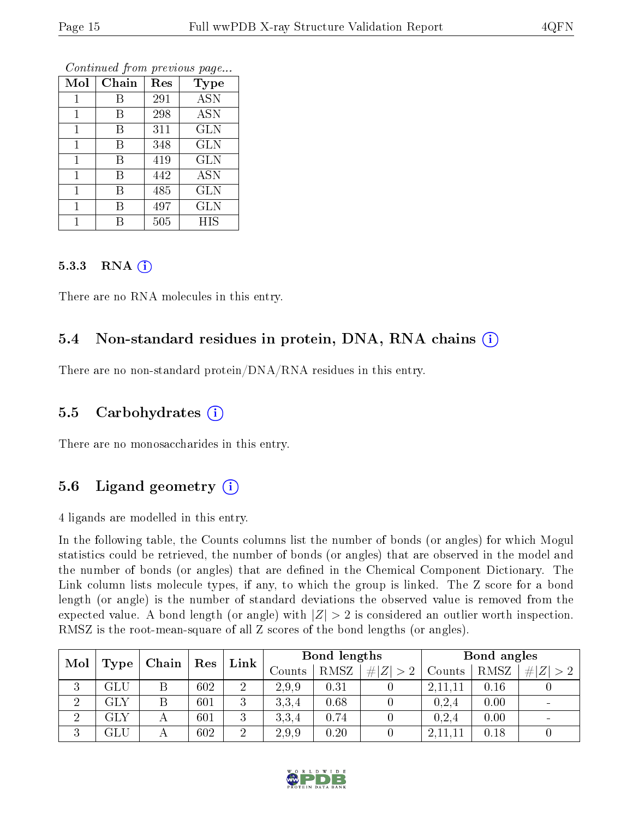| Mol | Chain | Res | <b>Type</b> |
|-----|-------|-----|-------------|
| 1   | В     | 291 | <b>ASN</b>  |
| 1   | В     | 298 | <b>ASN</b>  |
| 1   | В     | 311 | <b>GLN</b>  |
| 1   | В     | 348 | <b>GLN</b>  |
| 1   | В     | 419 | <b>GLN</b>  |
| 1   | В     | 442 | <b>ASN</b>  |
| 1   | В     | 485 | GLN         |
|     | В     | 497 | <b>GLN</b>  |
|     | R     | 505 | HIS         |

Continued from previous page...

#### 5.3.3 RNA  $(i)$

There are no RNA molecules in this entry.

#### 5.4 Non-standard residues in protein, DNA, RNA chains  $(i)$

There are no non-standard protein/DNA/RNA residues in this entry.

#### 5.5 Carbohydrates  $(i)$

There are no monosaccharides in this entry.

### 5.6 Ligand geometry  $(i)$

4 ligands are modelled in this entry.

In the following table, the Counts columns list the number of bonds (or angles) for which Mogul statistics could be retrieved, the number of bonds (or angles) that are observed in the model and the number of bonds (or angles) that are defined in the Chemical Component Dictionary. The Link column lists molecule types, if any, to which the group is linked. The Z score for a bond length (or angle) is the number of standard deviations the observed value is removed from the expected value. A bond length (or angle) with  $|Z| > 2$  is considered an outlier worth inspection. RMSZ is the root-mean-square of all Z scores of the bond lengths (or angles).

| Mol<br>$\top$ Type $\top$ |              | Chain ' | $\operatorname{Res}$ | Link           | Bond lengths |             |        |           | Bond angles |  |  |
|---------------------------|--------------|---------|----------------------|----------------|--------------|-------------|--------|-----------|-------------|--|--|
|                           |              |         |                      | Counts         | RMSZ         | # $ Z  > 2$ | Counts | RMSZ      | # Z         |  |  |
| 3                         | GLU          |         | 602                  | 2              | 2.9.9        | 0.31        |        | 2, 11, 11 | 0.16        |  |  |
| $\overline{2}$            | GLY          | Β       | 601                  | 3              | 3,3,4        | 0.68        |        | 0,2,4     | 0.00        |  |  |
| $\overline{2}$            | $_{\rm GLY}$ |         | 601                  | 3              | 3,3,4        | 0.74        |        | 0,2,4     | 0.00        |  |  |
| 3                         | GLU          |         | 602                  | $\overline{2}$ | 2.9.9        | 0.20        |        | 2,11,11   | 0.18        |  |  |

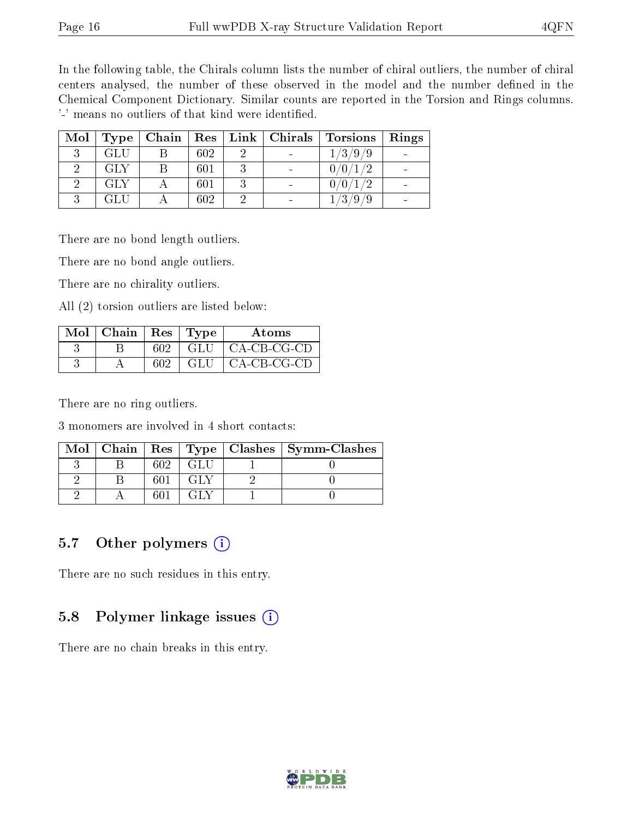In the following table, the Chirals column lists the number of chiral outliers, the number of chiral centers analysed, the number of these observed in the model and the number defined in the Chemical Component Dictionary. Similar counts are reported in the Torsion and Rings columns. '-' means no outliers of that kind were identified.

| Mol | Type |     | $\alpha$ Chain   Res   Link   Chirals | Torsions | Rings |
|-----|------|-----|---------------------------------------|----------|-------|
|     | GLU  | 602 |                                       | 1/3/9/9  |       |
|     | GLY  | 601 |                                       | 0/0      |       |
|     | GLY  | 601 |                                       | 0/0      |       |
|     |      | 602 |                                       | /3       |       |

There are no bond length outliers.

There are no bond angle outliers.

There are no chirality outliers.

All (2) torsion outliers are listed below:

| Mol | Chain | $\operatorname{Res}$ | Type | Atoms         |
|-----|-------|----------------------|------|---------------|
|     |       | 602                  | -GLU | $CA-CB-CG-CD$ |
|     |       | 602                  | GLU  | $CA-CB-CG-CD$ |

There are no ring outliers.

3 monomers are involved in 4 short contacts:

|  |     |  | Mol   Chain   Res   Type   Clashes   Symm-Clashes |
|--|-----|--|---------------------------------------------------|
|  | 602 |  |                                                   |
|  |     |  |                                                   |
|  |     |  |                                                   |

### 5.7 [O](https://www.wwpdb.org/validation/2017/XrayValidationReportHelp#nonstandard_residues_and_ligands)ther polymers  $(i)$

There are no such residues in this entry.

#### 5.8 Polymer linkage issues  $(i)$

There are no chain breaks in this entry.

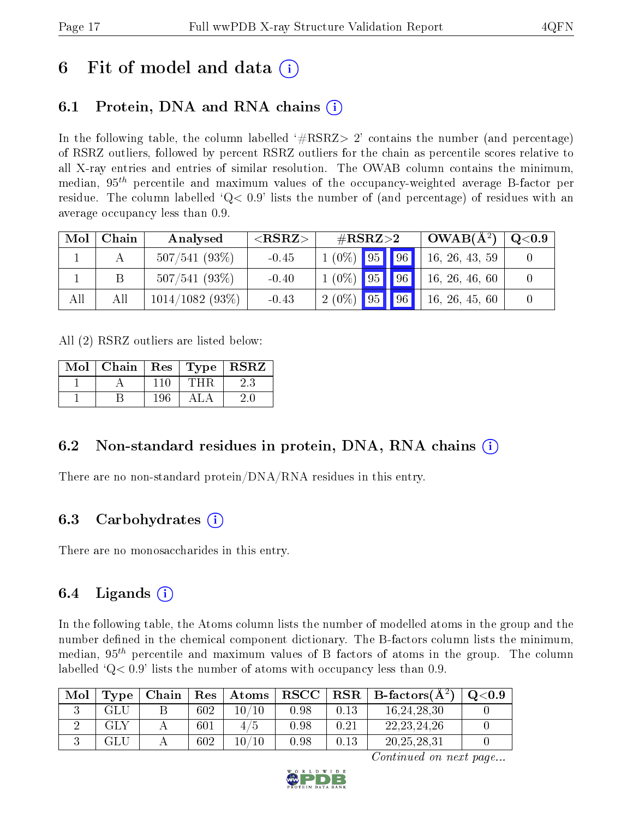## 6 Fit of model and data  $\left( \cdot \right)$

## 6.1 Protein, DNA and RNA chains (i)

In the following table, the column labelled  $#RSRZ>2'$  contains the number (and percentage) of RSRZ outliers, followed by percent RSRZ outliers for the chain as percentile scores relative to all X-ray entries and entries of similar resolution. The OWAB column contains the minimum, median,  $95<sup>th</sup>$  percentile and maximum values of the occupancy-weighted average B-factor per residue. The column labelled  $Q < 0.9$  lists the number of (and percentage) of residues with an average occupancy less than 0.9.

| Mol | Chain | Analysed          | ${ <\hspace{-1.5pt}{\mathrm{RSRZ}}\hspace{-1.5pt}>}$ |                | $\#\text{RSRZ}{>}2$ | $\perp$ OWAB( $\AA^2$ ) | $\rm Q\textcolor{black}{<}0.9$ |
|-----|-------|-------------------|------------------------------------------------------|----------------|---------------------|-------------------------|--------------------------------|
|     |       | 507/541(93%)      | $-0.45$                                              | $1(0\%)$ 95 96 |                     | 16, 26, 43, 59          |                                |
|     |       | 507/541(93%)      | $-0.40$                                              | $1(0\%)$ 95 96 |                     | 16, 26, 46, 60          |                                |
| All | All   | $1014/1082(93\%)$ | $-0.43$                                              | $2(0\%)$ 95 96 |                     | 16, 26, 45, 60          |                                |

All (2) RSRZ outliers are listed below:

| Mol | Chain | $\operatorname{Res}$ | $\top$ Type $\top$ | <b>RSRZ</b> |
|-----|-------|----------------------|--------------------|-------------|
|     |       | 110                  | THR                |             |
|     |       | 196                  |                    | 20.         |

### 6.2 Non-standard residues in protein, DNA, RNA chains  $(i)$

There are no non-standard protein/DNA/RNA residues in this entry.

### 6.3 Carbohydrates (i)

There are no monosaccharides in this entry.

### 6.4 Ligands  $(i)$

In the following table, the Atoms column lists the number of modelled atoms in the group and the number defined in the chemical component dictionary. The B-factors column lists the minimum, median,  $95<sup>th</sup>$  percentile and maximum values of B factors of atoms in the group. The column labelled  $Q< 0.9$ ' lists the number of atoms with occupancy less than 0.9.

| Mol | Type | Chain | $\operatorname{Res}$ | $\mid$ Atoms $\mid$ RSCC $\mid$ |      |      | $ $ RSR $ $ B-factors( $A2$ ) | Q <sub>0.9</sub> |
|-----|------|-------|----------------------|---------------------------------|------|------|-------------------------------|------------------|
|     | GLU  |       | 602                  | $10\, / 10$                     | 0.98 | 0.13 | 16, 24, 28, 30                |                  |
|     | GLY  |       | 601                  | 4/5                             | 0.98 | 0.21 | 22, 23, 24, 26                |                  |
|     |      |       | 602                  | $10\, / 10$                     | 0.98 | 0.13 | 20, 25, 28, 31                |                  |